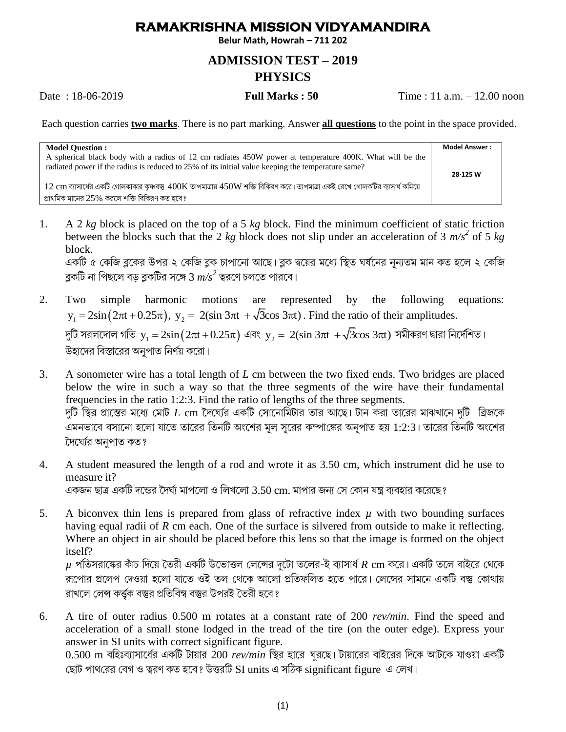## **RAMAKRISHNA MISSION VIDYAMANDIRA**

**Belur Math, Howrah – 711 202**

## **ADMISSION TEST – 2019 PHYSICS**

Date : 18-06-2019 **Full Marks : 50** Time : 11 a.m. – 12.00 noon

Each question carries **two marks**. There is no part marking. Answer **all questions** to the point in the space provided.

| <b>Model Question:</b>                                                                                                                                                                                       | <b>Model Answer :</b> |
|--------------------------------------------------------------------------------------------------------------------------------------------------------------------------------------------------------------|-----------------------|
| A spherical black body with a radius of 12 cm radiates 450W power at temperature 400K. What will be the<br>radiated power if the radius is reduced to 25% of its initial value keeping the temperature same? |                       |
|                                                                                                                                                                                                              | 28-125 W              |
| $12\ \mathrm{cm}$ ব্যাসার্ধের একটি গোলকাকার কৃষ্ণবস্তু $400\mathrm{K}$ তাপমাত্রায় $450\mathrm{W}$ শক্তি বিকিরণ করে। তাপমাত্রা একই রেখে গোলকটির ব্যাসার্ধ কমিয়ে                                             |                       |
| প্রাথমিক মানের $25\%$ করলে শক্তি বিকিরণ কত হবে?                                                                                                                                                              |                       |

1. A 2 *kg* block is placed on the top of a 5 *kg* block. Find the minimum coefficient of static friction between the blocks such that the 2  $kg$  block does not slip under an acceleration of 3  $m/s^2$  of 5  $kg$ block.

একটি ৫ কেজি ব্লকের উপর ২ কেজি ব্লক চাপানো আছে। ব্লক দ্বয়ের মধ্যে স্থিত ঘর্ষনের নূন্যতম মান কত হলে ২ কেজি ব্লকটি না পিছলে বড় ব্লকটির সঙ্গে 3  $m\!/\!s^2$  ত্বরণে চলতে পারবে।

- 2. Two simple harmonic motions are represented by the following equations: Two simple harmonic motions are represented by the following<br>  $y_1 = 2\sin(2\pi t + 0.25\pi)$ ,  $y_2 = 2(\sin 3\pi t + \sqrt{3}\cos 3\pi t)$ . Find the ratio of their amplitudes.  $\frac{1}{2}$ দুটি সরলদোল গতি  $\mathrm{y_{_1}=2sin(2\pi t+0.25\pi)}$  এবং  $\mathrm{y_{_2}=2}(\sin3\pi t\ +\sqrt{3}\mathrm{cos}\ 3\pi t)$  সমীকরণ দ্বারা নির্দেশিত। উহাদের বিস্তারের অনপাত নির্ণয় করো।
- 3. A sonometer wire has a total length of *L* cm between the two fixed ends. Two bridges are placed below the wire in such a way so that the three segments of the wire have their fundamental frequencies in the ratio 1:2:3. Find the ratio of lengths of the three segments. দুটি স্থির প্রাস্তের মধ্যে মোট  $L$  cm দৈঘেরি একটি সোনোমিটার তার আছে। টান করা তারের মাঝখানে দুটি "ব্রিজকে এমনভাবে বসানো হলো যাতে তারের তিনটি অংশের মূল সূরের কম্পাঙ্কের অনুপাত হয় 1:2:3। তারের তিনটি অংশের দৈঘেরি অনপাত কত?
- 4. A student measured the length of a rod and wrote it as 3.50 cm, which instrument did he use to measure it?

একজন ছাত্র একটি দন্ডের দৈর্ঘ্য মাপলো ও লিখলো 3.50 cm. মাপার জন্য সে কোন যন্ত্র ব্যবহার করেছে ?

5. A biconvex thin lens is prepared from glass of refractive index  $\mu$  with two bounding surfaces having equal radii of *R* cm each. One of the surface is silvered from outside to make it reflecting. Where an object in air should be placed before this lens so that the image is formed on the object itself?

 $\mu$  পতিসরাঙ্কের কাঁচ দিয়ে তৈরী একটি উভোত্তল লেন্সের দটো তলের-ই ব্যাসার্ধ  $R$  cm করে। একটি তলে বাইরে থেকে ঁরূপোর প্রলেপ দেওয়া হলো যাতে ওই তল থেকে আলো প্রতিফলিত হতে পারে। লেন্সের সামনে একটি বস্তু কোথায় রাখলে লেন্স কর্ত্তক বস্তুর প্রতিবিম্ব বস্তুর উপরই তৈরী হবে ?

6. A tire of outer radius 0.500 m rotates at a constant rate of 200 *rev/min*. Find the speed and acceleration of a small stone lodged in the tread of the tire (on the outer edge). Express your answer in SI units with correct significant figure.

 $0.500$  m বহিঃব্যাসার্ধের একটি টায়ার 200 *rev/min* স্থির হারে ঘুরছে। টায়ারের বাইরের দিকে আটকে যাওয়া একটি ছোট পাথরের বেগ ও ত্বরণ কত হবে? উত্তরটি SI units এ সঠিক significant figure এ লেখ।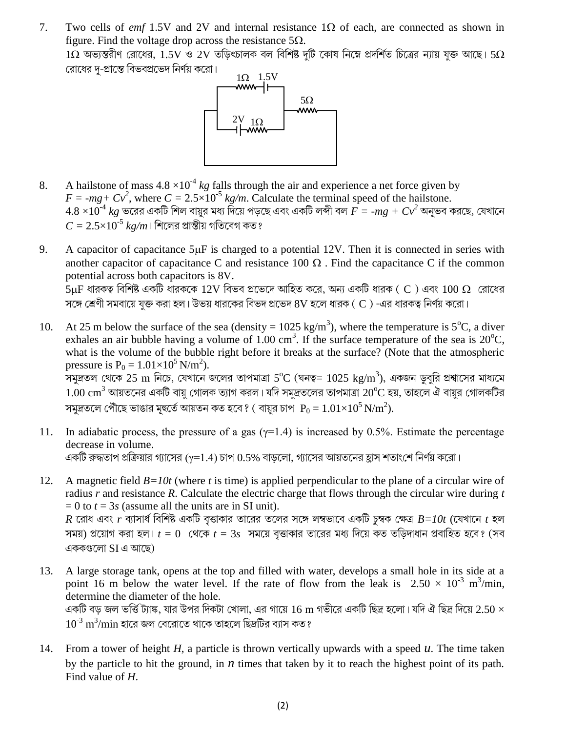7. Two cells of *emf* 1.5V and 2V and internal resistance 1 $\Omega$  of each, are connected as shown in figure. Find the voltage drop across the resistance  $5\Omega$ .  $1\Omega$  অভ্যন্তরীণ রোধের,  $1.5\mathrm{V}$  ও  $2\mathrm{V}$  তড়িৎচালক বল বিশিষ্ট দুটি কোষ নিম্নে প্রদর্শিত চিত্রের ন্যায় যুক্ত আছে।  $5\Omega$ রোধের দ-প্রান্তে বিভবপ্রভেদ নির্ণয় করো।



A hailstone of mass  $4.8 \times 10^{-4}$  kg falls through the air and experience a net force given by 8.  $F = -mg + Cv^2$ , where  $C = 2.5 \times 10^{-5}$  kg/m. Calculate the terminal speed of the hailstone.  $4.8 \times 10^{-4}$  kg ভরের একটি শিল বায়ুর মধ্য দিয়ে পড়ছে এবং একটি লব্দী বল  $F = -mg + Cv^2$  অনুভব করছে, যেখানে  $C = 2.5 \times 10^{-5} \ kg/m$ । শিলের প্রান্তীয় গতিবেগ কত ?

- 9. A capacitor of capacitance  $5\mu$ F is charged to a potential 12V. Then it is connected in series with another capacitor of capacitance C and resistance 100  $\Omega$ . Find the capacitance C if the common potential across both capacitors is 8V.  $5\mu$ F ধারকত্ব বিশিষ্ট একটি ধারককে  $12V$  বিভব প্রভেদে আহিত করে, অন্য একটি ধারক ( C ) এবং  $100\ \Omega$  রোধের সঙ্গে শ্রেণী সমবায়ে যুক্ত করা হল। উভয় ধারকের বিভদ প্রভেদ ৪V হলে ধারক ( $\,$ C) -এর ধারকত্ব নির্ণয় করো।
- At 25 m below the surface of the sea (density =  $1025 \text{ kg/m}^3$ ), where the temperature is 5<sup>o</sup>C, a diver 10. exhales an air bubble having a volume of 1.00 cm<sup>3</sup>. If the surface temperature of the sea is 20<sup>o</sup>C, what is the volume of the bubble right before it breaks at the surface? (Note that the atmospheric pressure is  $P_0 = 1.01 \times 10^5$  N/m<sup>2</sup>). সমুদ্রতল থেকে 25 m নিচে, যেখানে জলের তাপমাত্রা 5°C (ঘনত্ব= 1025 kg/m<sup>3</sup>), একজন ডুবুরি প্রশ্বাসের মাধ্যমে  $1.00~{\rm cm}^3$  আয়তনের একটি বায়ু গোলক ত্যাগ করল। যদি সমুদ্রতলের তাপমাত্রা  $20^{\rm o}$ C হয়, তাহলে ঐ বায়ুর গোলকটির

সমুদ্রতলে পৌঁছে ভাঙার মূহুর্তে আয়তন কত হবে? ( বায়ুর চাপ  $P_0 = 1.01 \times 10^5 \text{ N/m}^2$ ).

- In adiabatic process, the pressure of a gas  $(\gamma=1.4)$  is increased by 0.5%. Estimate the percentage 11. decrease in volume. একটি রুদ্ধতাপ প্রক্রিয়ার গ্যাসের ( $\gamma$ =1.4) চাপ  $0.5\%$  বাড়লো, গ্যাসের আয়তনের হ্রাস শতাংশে নির্ণয় করো।
- A magnetic field  $B=10t$  (where t is time) is applied perpendicular to the plane of a circular wire of 12. radius  $r$  and resistance  $R$ . Calculate the electric charge that flows through the circular wire during  $t$  $= 0$  to  $t = 3s$  (assume all the units are in SI unit).  $R$  রোধ এবং  $r$  ব্যাসার্ধ বিশিষ্ট একটি বৃত্তাকার তারের তলের সঙ্গে লম্বভাবে একটি চম্বক ক্ষেত্র  $B\!=\!10t$  (যেখানে  $t$  হল সময়) প্রয়োগ করা হল।  $t = 0$  থেকে  $t = 3s$  সময়ে বৃত্তাকার তারের মধ্য দিয়ে কত তডিদাধান প্রবাহিত হবে? (সব

এককগুলো SI এ আছে)

- A large storage tank, opens at the top and filled with water, develops a small hole in its side at a 13. point 16 m below the water level. If the rate of flow from the leak is  $2.50 \times 10^{-3}$  m<sup>3</sup>/min, determine the diameter of the hole. একটি বড় জল ভর্ত্তি ট্যাঙ্ক, যার উপর দিকটা খোলা, এর গায়ে  $16~{\rm m}$  গভীরে একটি ছিদ্র হলো। যদি ঐ ছিদ্র দিয়ে  $2.50\times$  $10^{3} \,\rm m^3/\rm min$  হারে জল বেরোতে থাকে তাহলে ছিদ্রটির ব্যাস কত ?
- From a tower of height  $H$ , a particle is thrown vertically upwards with a speed  $u$ . The time taken 14. by the particle to hit the ground, in  $n$  times that taken by it to reach the highest point of its path. Find value of  $H$ .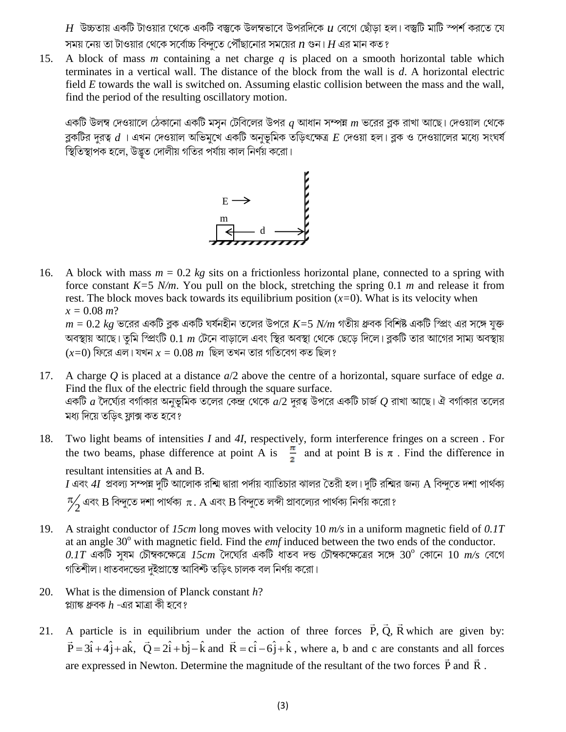$H$  উচ্চতায় একটি টাওয়ার থেকে একটি বস্তুকে উলম্বভাবে উপরদিকে  $\mu$  বেগে ছোঁড়া হল। বস্তুটি মাটি স্পর্শ করতে যে সময় নেয় তা টাওয়ার থেকে সর্বোচ্চ বিন্দতে পৌঁছানোর সময়ের  $n$  গুন।  $H$  এর মান কত ?

A block of mass  $m$  containing a net charge  $q$  is placed on a smooth horizontal table which 15. terminates in a vertical wall. The distance of the block from the wall is  $d$ . A horizontal electric field E towards the wall is switched on. Assuming elastic collision between the mass and the wall, find the period of the resulting oscillatory motion.

একটি উলম্ব দেওয়ালে ঠেকানো একটি মসূন টেবিলের উপর  $q$  আধান সম্পন্ন  $m$  ভরের ব্লক রাখা আছে। দেওয়াল থেকে ব্লকটির দুরত্ব  $d$ া এখন দেওয়াল অভিমুখে একটি অনুভূমিক তড়িৎক্ষেত্র  $E$  দেওয়া হল। ব্লক ও দেওয়ালের মধ্যে সংঘর্ষ স্থিতিস্থাপক হলে, উদ্ভূত দোলীয় গতির পর্যায় কাল নির্ণয় করো।



A block with mass  $m = 0.2$  kg sits on a frictionless horizontal plane, connected to a spring with 16. force constant  $K=5$  N/m. You pull on the block, stretching the spring 0.1 m and release it from rest. The block moves back towards its equilibrium position  $(x=0)$ . What is its velocity when  $x = 0.08$  m?

 $m = 0.2$  kg ভরের একটি ব্লক একটি ঘর্ষনহীন তলের উপরে  $K = 5$  N/m গতীয় ধ্রুবক বিশিষ্ট একটি স্প্রিং এর সঙ্গে যুক্ত অবস্থায় আছে। তুমি স্প্রিংটি  $0.1 \; m$  টেনে বাড়ালে এবং স্থির অবস্থা থেকে ছেড়ে দিলে। ব্লকটি তার আগের সাম্য অবস্থায়  $(x=0)$  ফিরে এল। যখন  $x=0.08$   $m$  ছিল তখন তার গতিবেগ কত ছিল ?

- A charge Q is placed at a distance  $a/2$  above the centre of a horizontal, square surface of edge a. 17. Find the flux of the electric field through the square surface. একটি  $a$  দৈর্ঘ্যের বর্গাকার অনুভূমিক তলের কেন্দ্র থেকে  $a/2$  দুরত্ব উপরে একটি চার্জ  $Q$  রাখা আছে। ঐ বর্গাকার তলের মধ্য দিয়ে তডিৎ ফ্লাক্স কত হবে?
- Two light beams of intensities  $I$  and  $4I$ , respectively, form interference fringes on a screen. For 18. the two beams, phase difference at point A is  $\frac{\pi}{2}$  and at point B is  $\pi$ . Find the difference in resultant intensities at A and B.

 $I$  এবং  $4I$  প্রবল্য সম্পন্ন দুটি আলোক রশ্মি দ্বারা পর্দায় ব্যাতিচার ঝালর তৈরী হল। দুটি রশ্মির জন্য A বিন্দুতে দশা পার্থক্য

 $\frac{\pi}{2}$  এবং B বিন্দুতে দশা পার্থক্য  $\pi$ . A এবং B বিন্দুতে লব্দী প্রাবল্যের পার্থক্য নির্ণয় করো ?

- A straight conductor of 15cm long moves with velocity 10  $m/s$  in a uniform magnetic field of 0.1T 19. at an angle  $30^{\circ}$  with magnetic field. Find the *emf* induced between the two ends of the conductor.  $0.1T$  একটি সুষম চৌম্বকক্ষেত্রে  $15cm$  দৈঘ্যের একটি ধাতব দন্ড চৌম্বকক্ষেত্রের সঙ্গে  $30^{\circ}$  কোনে  $10\,$   $m/s$  বেগে গতিশীল। ধাতবদন্ডের দুইপ্রাস্তে আবিশ্ট তড়িৎ চালক বল নির্ণয় করো।
- 20. What is the dimension of Planck constant  $h$ ? প্ল্যাঙ্ক ধ্ৰুবক  $h$  -এর মাত্রা কী হবে?
- A particle is in equilibrium under the action of three forces  $\vec{P}$ ,  $\vec{Q}$ ,  $\vec{R}$  which are given by: 21.  $\vec{P} = 3\hat{i} + 4\hat{j} + 4\hat{k}$ ,  $\vec{Q} = 2\hat{i} + 6\hat{j} - \hat{k}$  and  $\vec{R} = c\hat{i} - 6\hat{j} + \hat{k}$ , where a, b and c are constants and all forces are expressed in Newton. Determine the magnitude of the resultant of the two forces  $\vec{P}$  and  $\vec{R}$ .